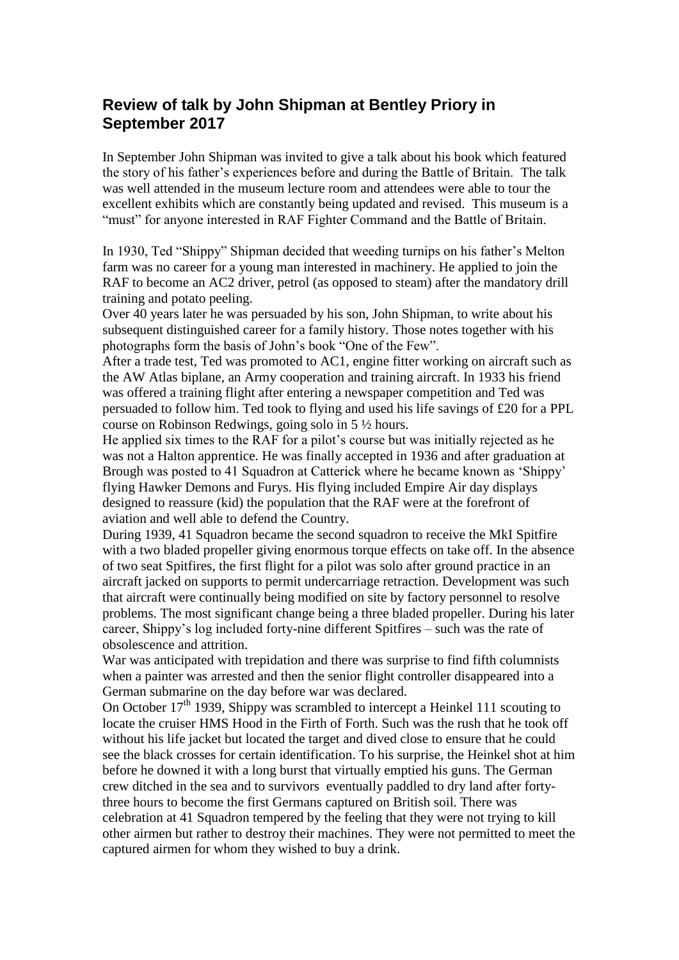## **Review of talk by John Shipman at Bentley Priory in September 2017**

In September John Shipman was invited to give a talk about his book which featured the story of his father's experiences before and during the Battle of Britain. The talk was well attended in the museum lecture room and attendees were able to tour the excellent exhibits which are constantly being updated and revised. This museum is a "must" for anyone interested in RAF Fighter Command and the Battle of Britain.

In 1930, Ted "Shippy" Shipman decided that weeding turnips on his father's Melton farm was no career for a young man interested in machinery. He applied to join the RAF to become an AC2 driver, petrol (as opposed to steam) after the mandatory drill training and potato peeling.

Over 40 years later he was persuaded by his son, John Shipman, to write about his subsequent distinguished career for a family history. Those notes together with his photographs form the basis of John's book "One of the Few".

After a trade test, Ted was promoted to AC1, engine fitter working on aircraft such as the AW Atlas biplane, an Army cooperation and training aircraft. In 1933 his friend was offered a training flight after entering a newspaper competition and Ted was persuaded to follow him. Ted took to flying and used his life savings of £20 for a PPL course on Robinson Redwings, going solo in 5 ½ hours.

He applied six times to the RAF for a pilot's course but was initially rejected as he was not a Halton apprentice. He was finally accepted in 1936 and after graduation at Brough was posted to 41 Squadron at Catterick where he became known as 'Shippy' flying Hawker Demons and Furys. His flying included Empire Air day displays designed to reassure (kid) the population that the RAF were at the forefront of aviation and well able to defend the Country.

During 1939, 41 Squadron became the second squadron to receive the MkI Spitfire with a two bladed propeller giving enormous torque effects on take off. In the absence of two seat Spitfires, the first flight for a pilot was solo after ground practice in an aircraft jacked on supports to permit undercarriage retraction. Development was such that aircraft were continually being modified on site by factory personnel to resolve problems. The most significant change being a three bladed propeller. During his later career, Shippy's log included forty-nine different Spitfires – such was the rate of obsolescence and attrition.

War was anticipated with trepidation and there was surprise to find fifth columnists when a painter was arrested and then the senior flight controller disappeared into a German submarine on the day before war was declared.

On October  $17<sup>th</sup>$  1939, Shippy was scrambled to intercept a Heinkel 111 scouting to locate the cruiser HMS Hood in the Firth of Forth. Such was the rush that he took off without his life jacket but located the target and dived close to ensure that he could see the black crosses for certain identification. To his surprise, the Heinkel shot at him before he downed it with a long burst that virtually emptied his guns. The German crew ditched in the sea and to survivors eventually paddled to dry land after fortythree hours to become the first Germans captured on British soil. There was celebration at 41 Squadron tempered by the feeling that they were not trying to kill other airmen but rather to destroy their machines. They were not permitted to meet the captured airmen for whom they wished to buy a drink.